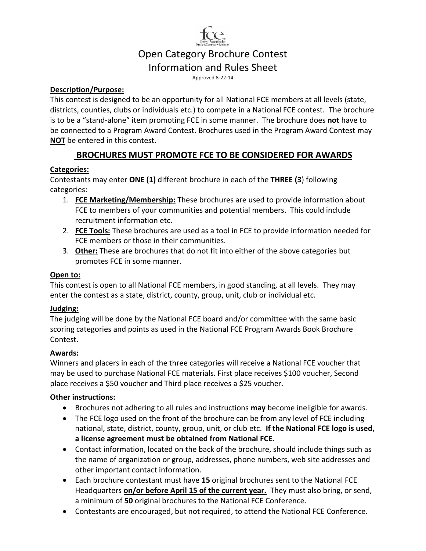

# Open Category Brochure Contest

Information and Rules Sheet

Approved 8-22-14

#### **Description/Purpose:**

This contest is designed to be an opportunity for all National FCE members at all levels (state, districts, counties, clubs or individuals etc.) to compete in a National FCE contest. The brochure is to be a "stand-alone" item promoting FCE in some manner. The brochure does **not** have to be connected to a Program Award Contest. Brochures used in the Program Award Contest may **NOT** be entered in this contest.

### **BROCHURES MUST PROMOTE FCE TO BE CONSIDERED FOR AWARDS**

#### **Categories:**

Contestants may enter **ONE (1)** different brochure in each of the **THREE (3**) following categories:

- 1. **FCE Marketing/Membership:** These brochures are used to provide information about FCE to members of your communities and potential members. This could include recruitment information etc.
- 2. **FCE Tools:** These brochures are used as a tool in FCE to provide information needed for FCE members or those in their communities.
- 3. **Other:** These are brochures that do not fit into either of the above categories but promotes FCE in some manner.

#### **Open to:**

This contest is open to all National FCE members, in good standing, at all levels. They may enter the contest as a state, district, county, group, unit, club or individual etc.

#### **Judging:**

The judging will be done by the National FCE board and/or committee with the same basic scoring categories and points as used in the National FCE Program Awards Book Brochure Contest.

#### **Awards:**

Winners and placers in each of the three categories will receive a National FCE voucher that may be used to purchase National FCE materials. First place receives \$100 voucher, Second place receives a \$50 voucher and Third place receives a \$25 voucher.

#### **Other instructions:**

- Brochures not adhering to all rules and instructions **may** become ineligible for awards.
- The FCE logo used on the front of the brochure can be from any level of FCE including national, state, district, county, group, unit, or club etc. **If the National FCE logo is used, a license agreement must be obtained from National FCE.**
- Contact information, located on the back of the brochure, should include things such as the name of organization or group, addresses, phone numbers, web site addresses and other important contact information.
- Each brochure contestant must have **15** original brochures sent to the National FCE Headquarters **on/or before April 15 of the current year.** They must also bring, or send, a minimum of **50** original brochures to the National FCE Conference.
- Contestants are encouraged, but not required, to attend the National FCE Conference.